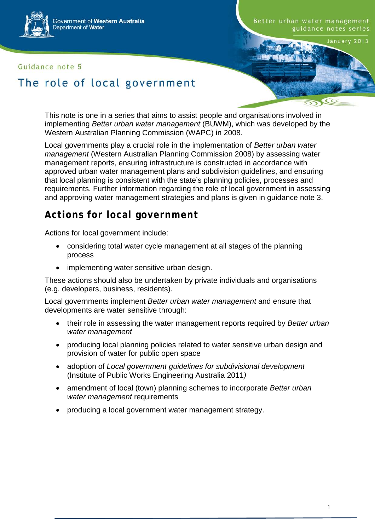

#### Guidance note 5

Better urban water management guidance notes series

January 2013

# The role of local government

This note is one in a series that aims to assist people and organisations involved in implementing *Better urban water management* (BUWM), which was developed by the Western Australian Planning Commission (WAPC) in 2008.

Local governments play a crucial role in the implementation of *Better urban water management* (Western Australian Planning Commission 2008) by assessing water management reports, ensuring infrastructure is constructed in accordance with approved urban water management plans and subdivision guidelines, and ensuring that local planning is consistent with the state's planning policies, processes and requirements. Further information regarding the role of local government in assessing and approving water management strategies and plans is given in guidance note 3.

### **Actions for local government**

Actions for local government include:

- considering total water cycle management at all stages of the planning process
- implementing water sensitive urban design.

These actions should also be undertaken by private individuals and organisations (e.g. developers, business, residents).

Local governments implement *Better urban water management* and ensure that developments are water sensitive through:

- their role in assessing the water management reports required by *Better urban water management*
- producing local planning policies related to water sensitive urban design and provision of water for public open space
- adoption of *Local government guidelines for subdivisional development* (Institute of Public Works Engineering Australia 2011*)*
- amendment of local (town) planning schemes to incorporate *Better urban water management* requirements
- producing a local government water management strategy.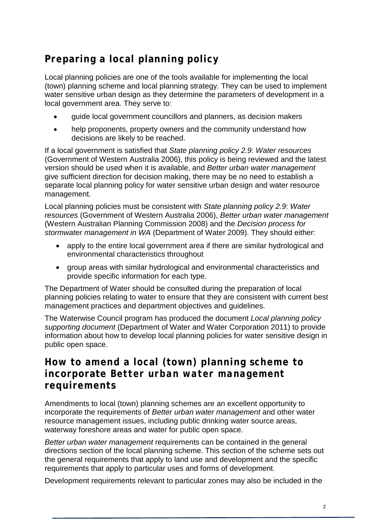# **Preparing a local planning policy**

Local planning policies are one of the tools available for implementing the local (town) planning scheme and local planning strategy. They can be used to implement water sensitive urban design as they determine the parameters of development in a local government area. They serve to:

- guide local government councillors and planners, as decision makers
- help proponents, property owners and the community understand how decisions are likely to be reached.

If a local government is satisfied that *State planning policy 2.9*: *Water resources*  (Government of Western Australia 2006), this policy is being reviewed and the latest version should be used when it is available, and *Better urban water management* give sufficient direction for decision making, there may be no need to establish a separate local planning policy for water sensitive urban design and water resource management.

Local planning policies must be consistent with *State planning policy 2.9*: *Water resources* (Government of Western Australia 2006), *Better urban water management* (Western Australian Planning Commission 2008) and the *Decision process for stormwater management in WA* (Department of Water 2009). They should either:

- apply to the entire local government area if there are similar hydrological and environmental characteristics throughout
- group areas with similar hydrological and environmental characteristics and provide specific information for each type.

The Department of Water should be consulted during the preparation of local planning policies relating to water to ensure that they are consistent with current best management practices and department objectives and guidelines.

The Waterwise Council program has produced the document *Local planning policy supporting document* (Department of Water and Water Corporation 2011) to provide information about how to develop local planning policies for water sensitive design in public open space.

### **How to amend a local (town) planning scheme to incorporate** *Better urban water management* **requirements**

Amendments to local (town) planning schemes are an excellent opportunity to incorporate the requirements of *Better urban water management* and other water resource management issues, including public drinking water source areas, waterway foreshore areas and water for public open space.

*Better urban water management* requirements can be contained in the general directions section of the local planning scheme. This section of the scheme sets out the general requirements that apply to land use and development and the specific requirements that apply to particular uses and forms of development.

Development requirements relevant to particular zones may also be included in the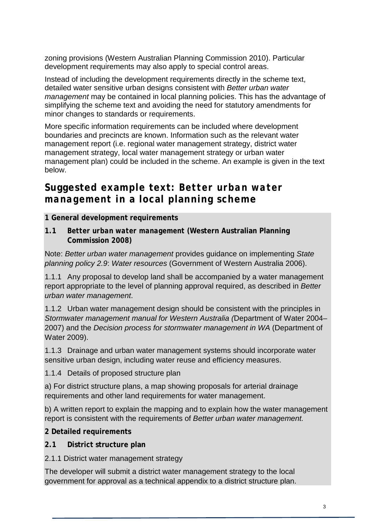zoning provisions (Western Australian Planning Commission 2010). Particular development requirements may also apply to special control areas.

Instead of including the development requirements directly in the scheme text, detailed water sensitive urban designs consistent with *Better urban water management* may be contained in local planning policies. This has the advantage of simplifying the scheme text and avoiding the need for statutory amendments for minor changes to standards or requirements.

More specific information requirements can be included where development boundaries and precincts are known. Information such as the relevant water management report (i.e. regional water management strategy, district water management strategy, local water management strategy or urban water management plan) could be included in the scheme. An example is given in the text below.

### **Suggested example text:** *Better urban water management* **in a local planning scheme**

#### **1 General development requirements**

**1.1** *Better urban water management* **(Western Australian Planning Commission 2008)**

Note: *Better urban water management* provides guidance on implementing *State planning policy 2.9*: *Water resources* (Government of Western Australia 2006).

1.1.1 Any proposal to develop land shall be accompanied by a water management report appropriate to the level of planning approval required, as described in *Better urban water management*.

1.1.2 Urban water management design should be consistent with the principles in *Stormwater management manual for Western Australia (*Department of Water 2004– 2007) and the *Decision process for stormwater management in WA* (Department of Water 2009).

1.1.3 Drainage and urban water management systems should incorporate water sensitive urban design, including water reuse and efficiency measures.

1.1.4 Details of proposed structure plan

a) For district structure plans, a map showing proposals for arterial drainage requirements and other land requirements for water management.

b) A written report to explain the mapping and to explain how the water management report is consistent with the requirements of *Better urban water management.*

**2 Detailed requirements**

**2.1 District structure plan**

2.1.1 District water management strategy

The developer will submit a district water management strategy to the local government for approval as a technical appendix to a district structure plan.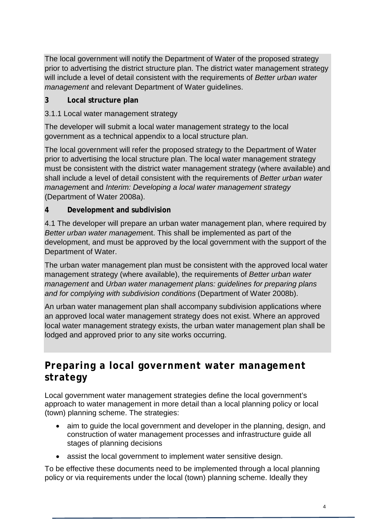The local government will notify the Department of Water of the proposed strategy prior to advertising the district structure plan. The district water management strategy will include a level of detail consistent with the requirements of *Better urban water management* and relevant Department of Water guidelines.

- **3 Local structure plan**
- 3.1.1 Local water management strategy

The developer will submit a local water management strategy to the local government as a technical appendix to a local structure plan.

The local government will refer the proposed strategy to the Department of Water prior to advertising the local structure plan. The local water management strategy must be consistent with the district water management strategy (where available) and shall include a level of detail consistent with the requirements of *Better urban water manageme*nt and *Interim: Developing a local water management strategy* (Department of Water 2008a).

**4 Development and subdivision**

4.1 The developer will prepare an urban water management plan, where required by *Better urban water manageme*nt. This shall be implemented as part of the development, and must be approved by the local government with the support of the Department of Water.

The urban water management plan must be consistent with the approved local water management strategy (where available), the requirements of *Better urban water management* and *Urban water management plans: guidelines for preparing plans and for complying with subdivision conditions* (Department of Water 2008b).

An urban water management plan shall accompany subdivision applications where an approved local water management strategy does not exist. Where an approved local water management strategy exists, the urban water management plan shall be lodged and approved prior to any site works occurring.

## **Preparing a local government water management strategy**

Local government water management strategies define the local government's approach to water management in more detail than a local planning policy or local (town) planning scheme. The strategies:

- aim to guide the local government and developer in the planning, design, and construction of water management processes and infrastructure guide all stages of planning decisions
- assist the local government to implement water sensitive design.

To be effective these documents need to be implemented through a local planning policy or via requirements under the local (town) planning scheme. Ideally they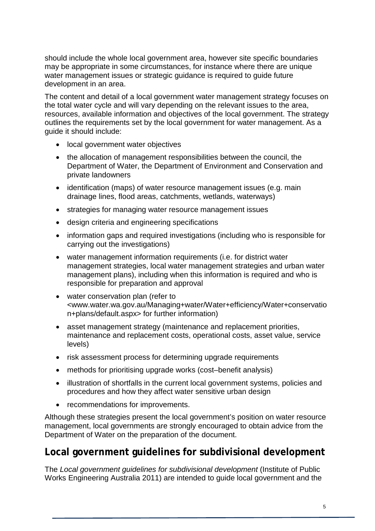should include the whole local government area, however site specific boundaries may be appropriate in some circumstances, for instance where there are unique water management issues or strategic guidance is required to guide future development in an area.

The content and detail of a local government water management strategy focuses on the total water cycle and will vary depending on the relevant issues to the area, resources, available information and objectives of the local government. The strategy outlines the requirements set by the local government for water management. As a guide it should include:

- local government water objectives
- the allocation of management responsibilities between the council, the Department of Water, the Department of Environment and Conservation and private landowners
- identification (maps) of water resource management issues (e.g. main drainage lines, flood areas, catchments, wetlands, waterways)
- strategies for managing water resource management issues
- design criteria and engineering specifications
- information gaps and required investigations (including who is responsible for carrying out the investigations)
- water management information requirements (i.e. for district water management strategies, local water management strategies and urban water management plans), including when this information is required and who is responsible for preparation and approval
- water conservation plan (refer to [<www.water.wa.gov.au/Managing+water/Water+efficiency/Water+conservatio](http://www.water.wa.gov.au/Managing+water/Water+efficiency/Water+conservation+plans/default.aspx) [n+plans/default.aspx>](http://www.water.wa.gov.au/Managing+water/Water+efficiency/Water+conservation+plans/default.aspx) for further information)
- asset management strategy (maintenance and replacement priorities, maintenance and replacement costs, operational costs, asset value, service levels)
- risk assessment process for determining upgrade requirements
- methods for prioritising upgrade works (cost-benefit analysis)
- illustration of shortfalls in the current local government systems, policies and procedures and how they affect water sensitive urban design
- recommendations for improvements.

Although these strategies present the local government's position on water resource management, local governments are strongly encouraged to obtain advice from the Department of Water on the preparation of the document.

### **Local government guidelines for subdivisional development**

The *Local government guidelines for subdivisional development* (Institute of Public Works Engineering Australia 2011) are intended to guide local government and the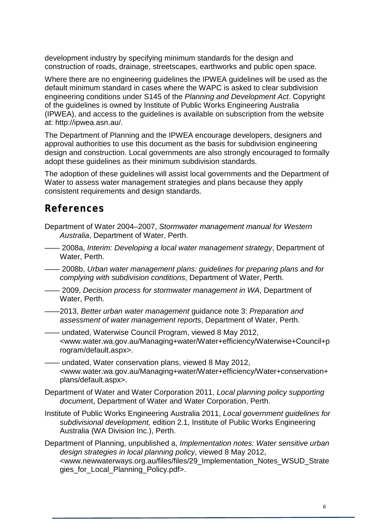development industry by specifying minimum standards for the design and construction of roads, drainage, streetscapes, earthworks and public open space.

Where there are no engineering guidelines the IPWEA guidelines will be used as the default minimum standard in cases where the WAPC is asked to clear subdivision engineering conditions under S145 of the *Planning and Development Act*. Copyright of the guidelines is owned by Institute of Public Works Engineering Australia (IPWEA), and access to the guidelines is available on subscription from the website at: http://ipwea.asn.au/.

The Department of Planning and the IPWEA encourage developers, designers and approval authorities to use this document as the basis for subdivision engineering design and construction. Local governments are also strongly encouraged to formally adopt these guidelines as their minimum subdivision standards.

The adoption of these guidelines will assist local governments and the Department of Water to assess water management strategies and plans because they apply consistent requirements and design standards.

### **References**

- Department of Water 2004–2007, *Stormwater management manual for Western Australia*, Department of Water, Perth.
- —— 2008a, *Interim: Developing a local water management strategy*, Department of Water, Perth.

—— 2008b, *Urban water management plans: guidelines for preparing plans and for complying with subdivision conditions*, Department of Water, Perth.

- —— 2009, *Decision process for stormwater management in WA*, Department of Water, Perth.
- ——2013, *Better urban water management* guidance note 3: *Preparation and assessment of water management reports*, Department of Water, Perth.
- —— undated, Waterwise Council Program, viewed 8 May 2012, [<www.water.wa.gov.au/Managing+water/Water+efficiency/Waterwise+Council+p](http://www.water.wa.gov.au/Managing+water/Water+efficiency/Waterwise+Council+program/default.aspx) [rogram/default.aspx>](http://www.water.wa.gov.au/Managing+water/Water+efficiency/Waterwise+Council+program/default.aspx).
- —— undated, Water conservation plans, viewed 8 May 2012, [<www.water.wa.gov.au/Managing+water/Water+efficiency/Water+conservation+](http://www.water.wa.gov.au/Managing+water/Water+efficiency/Water+conservation+plans/default.aspx) [plans/default.aspx>](http://www.water.wa.gov.au/Managing+water/Water+efficiency/Water+conservation+plans/default.aspx).
- Department of Water and Water Corporation 2011, *Local planning policy supporting documen*t, Department of Water and Water Corporation, Perth.
- Institute of Public Works Engineering Australia 2011, *Local government guidelines for subdivisional development,* edition 2.1, Institute of Public Works Engineering Australia (WA Division Inc.), Perth.

Department of Planning, unpublished a, *Implementation notes: Water sensitive urban design strategies in local planning policy*, viewed 8 May 2012, <www.newwaterways.org.au/files/files/29\_Implementation\_Notes\_WSUD\_Strate gies\_for\_Local\_Planning\_Policy.pdf>.